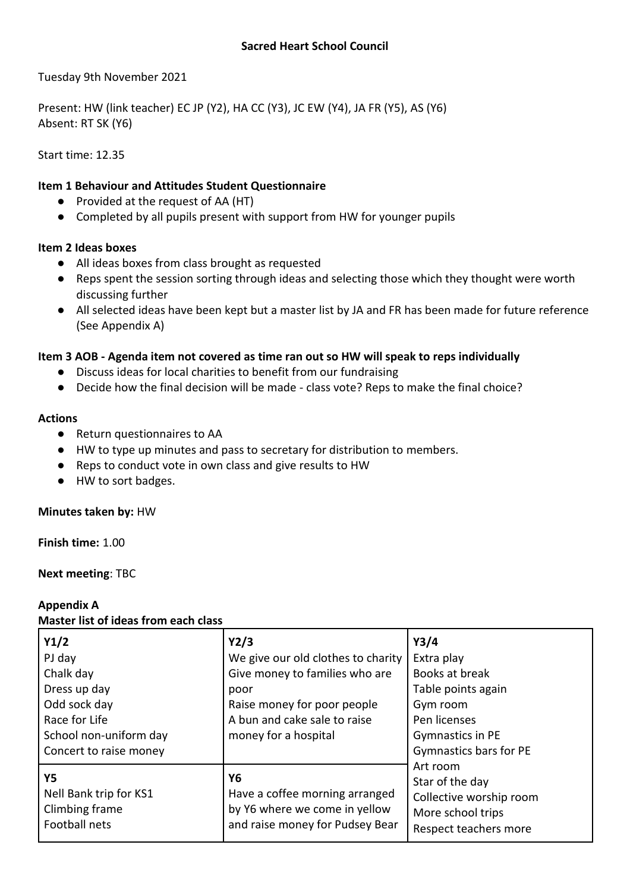Tuesday 9th November 2021

Present: HW (link teacher) EC JP (Y2), HA CC (Y3), JC EW (Y4), JA FR (Y5), AS (Y6) Absent: RT SK (Y6)

Start time: 12.35

# **Item 1 Behaviour and Attitudes Student Questionnaire**

- Provided at the request of AA (HT)
- Completed by all pupils present with support from HW for younger pupils

# **Item 2 Ideas boxes**

- All ideas boxes from class brought as requested
- Reps spent the session sorting through ideas and selecting those which they thought were worth discussing further
- All selected ideas have been kept but a master list by JA and FR has been made for future reference (See Appendix A)

# **Item 3 AOB - Agenda item not covered as time ran out so HW will speak to reps individually**

- Discuss ideas for local charities to benefit from our fundraising
- Decide how the final decision will be made class vote? Reps to make the final choice?

### **Actions**

- Return questionnaires to AA
- HW to type up minutes and pass to secretary for distribution to members.
- Reps to conduct vote in own class and give results to HW
- HW to sort badges.

### **Minutes taken by:** HW

**Finish time:** 1.00

**Next meeting**: TBC

#### **Appendix A Master list of ideas from each class**

| Y1/2                   | Y2/3                               | Y3/4                    |  |
|------------------------|------------------------------------|-------------------------|--|
| PJ day                 | We give our old clothes to charity | Extra play              |  |
| Chalk day              | Give money to families who are     | Books at break          |  |
| Dress up day           | poor                               | Table points again      |  |
| Odd sock day           | Raise money for poor people        | Gym room                |  |
| Race for Life          | A bun and cake sale to raise       | Pen licenses            |  |
| School non-uniform day | money for a hospital               | Gymnastics in PE        |  |
| Concert to raise money |                                    | Gymnastics bars for PE  |  |
|                        |                                    | Art room                |  |
| Υ5                     | Y6                                 | Star of the day         |  |
| Nell Bank trip for KS1 | Have a coffee morning arranged     | Collective worship room |  |
| Climbing frame         | by Y6 where we come in yellow      | More school trips       |  |
| Football nets          | and raise money for Pudsey Bear    | Respect teachers more   |  |